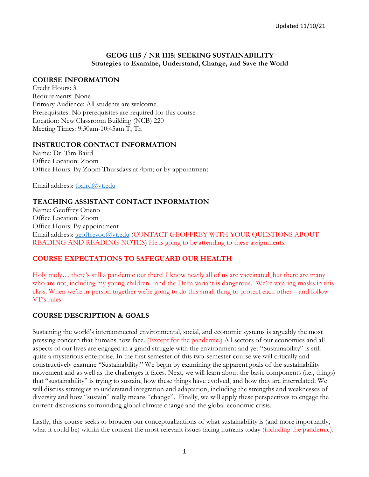### **GEOG 1115 / NR 1115: SEEKING SUSTAINABILITY Strategies to Examine, Understand, Change, and Save the World**

## **COURSE INFORMATION**

Credit Hours: 3 Requirements: None Primary Audience: All students are welcome. Prerequisites: No prerequisites are required for this course Location: New Classroom Building (NCB) 220 Meeting Times: 9:30am-10:45am T, Th

## **INSTRUCTOR CONTACT INFORMATION**

Name: Dr. Tim Baird Office Location: Zoom Office Hours: By Zoom Thursdays at 4pm; or by appointment

Email address: [tbaird@vt.edu](mailto:tbaird@vt.edu)

# **TEACHING ASSISTANT CONTACT INFORMATION**

Name: Geoffrey Otieno Office Location: Zoom Office Hours: By appointment Email address: [geoffreyoo@vt.edu](mailto:geoffreyoo@vt.edu) (CONTACT GEOFFREY WITH YOUR QUESTIONS ABOUT READING AND READING NOTES) He is going to be attending to these assignments.

# **COURSE EXPECTATIONS TO SAFEGUARD OUR HEALTH**

Holy moly… there's still a pandemic out there! I know nearly all of us are vaccinated, but there are many who are not, including my young children - and the Delta variant is dangerous. We're wearing masks in this class. When we're in-person together we're going to do this small thing to protect each other – and follow VT's rules.

# **COURSE DESCRIPTION & GOALS**

Sustaining the world's interconnected environmental, social, and economic systems is arguably the most pressing concern that humans now face. (Except for the pandemic.) All sectors of our economies and all aspects of our lives are engaged in a grand struggle with the environment and yet "Sustainability" is still quite a mysterious enterprise. In the first semester of this two-semester course we will critically and constructively examine "Sustainability." We begin by examining the apparent goals of the sustainability movement and as well as the challenges it faces. Next, we will learn about the basic components (i.e., things) that "sustainability" is trying to sustain, how these things have evolved, and how they are interrelated. We will discuss strategies to understand integration and adaptation, including the strengths and weaknesses of diversity and how "sustain" really means "change". Finally, we will apply these perspectives to engage the current discussions surrounding global climate change and the global economic crisis.

Lastly, this course seeks to broaden our conceptualizations of what sustainability is (and more importantly, what it could be) within the context the most relevant issues facing humans today (including the pandemic).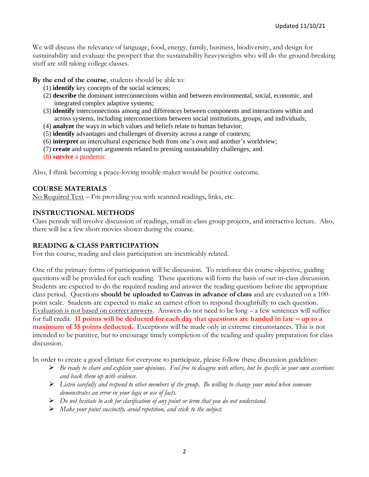We will discuss the relevance of language, food, energy, family, business, biodiversity, and design for sustainability and evaluate the prospect that the sustainability heavyweights who will do the ground-breaking stuff are still taking college classes.

**By the end of the course**, students should be able to:

- (1) **identify** key concepts of the social sciences;
- (2) **describe** the dominant interconnections within and between environmental, social, economic, and integrated complex adaptive systems;
- (3) **identify** interconnections among and differences between components and interactions within and across systems, including interconnections between social institutions, groups, and individuals;
- (4) **analyze** the ways in which values and beliefs relate to human behavior;
- (5) **identify** advantages and challenges of diversity across a range of contexts;
- (6) **interpret** an intercultural experience both from one's own and another's worldview;
- (7) **create** and support arguments related to pressing sustainability challenges; and
- (8) **survive** a pandemic

Also, I think becoming a peace-loving trouble-maker would be positive outcome.

## **COURSE MATERIALS**

No Required Text – I'm providing you with scanned readings, links, etc.

## **INSTRUCTIONAL METHODS**

Class periods will involve discussion of readings, small in-class group projects, and interactive lecture. Also, there will be a few short movies shown during the course.

## **READING & CLASS PARTICIPATION**

For this course, reading and class participation are inextricably related.

One of the primary forms of participation will be discussion. To reinforce this course objective, guiding questions will be provided for each reading. These questions will form the basis of our in-class discussion. Students are expected to do the required reading and answer the reading questions before the appropriate class period. Questions **should be uploaded to Canvas in advance of class** and are evaluated on a 100 point scale. Students are expected to make an earnest effort to respond thoughtfully to each question. Evaluation is not based on correct answers. Answers do not need to be long – a few sentences will suffice for full credit. **11 points will be deducted for each day that questions are handed in late – up to a maximum of 35 points deducted.** Exceptions will be made only in extreme circumstances. This is not intended to be punitive, but to encourage timely completion of the reading and quality preparation for class discussion.

In order to create a good climate for everyone to participate, please follow these discussion guidelines:

- ➢ *Be ready to share and explain your opinions. Feel free to disagree with others, but be specific in your own assertions and back them up with evidence.*
- ➢ *Listen carefully and respond to other members of the group. Be willing to change your mind when someone demonstrates an error in your logic or use of facts.*
- ➢ *Do not hesitate to ask for clarification of any point or term that you do not understand.*
- ➢ *Make your point succinctly, avoid repetition, and stick to the subject.*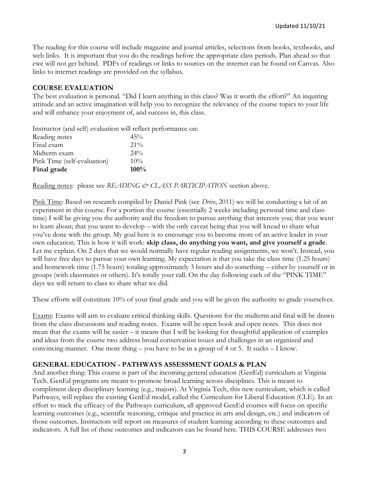The reading for this course will include magazine and journal articles, selections from books, textbooks, and web links. It is important that you do the readings before the appropriate class periods. Plan ahead so that ewe will not get behind. PDFs of readings or links to sources on the internet can be found on Canvas. Also links to internet readings are provided on the syllabus.

# **COURSE EVALUATION**

The best evaluation is personal. "Did I learn anything in this class? Was it worth the effort?" An inquiring attitude and an active imagination will help you to recognize the relevance of the course topics to your life and will enhance your enjoyment of, and success in, this class.

Instructor (and self) evaluation will reflect performance on:

| Reading notes               | 45%    |
|-----------------------------|--------|
| Final exam                  | $21\%$ |
| Midterm exam                | $24\%$ |
| Pink Time (self-evaluation) | $10\%$ |
| Final grade                 | 100%   |

Reading notes: please see *READING & CLASS PARTICIPATION* section above.

Pink Time: Based on research compiled by Daniel Pink (see *Drive*, 2011) we will be conducting a bit of an experiment in this course. For a portion the course (essentially 2 weeks including personal time and class time) I will be giving you the authority and the freedom to pursue anything that interests you; that you want to learn about; that you want to develop – with the only caveat being that you will knead to share what you've done with the group. My goal here is to encourage you to become more of an active leader in your own education. This is how it will work: **skip class, do anything you want, and give yourself a grade**. Let me explain. On 2 days that we would normally have regular reading assignments, we won't. Instead, you will have free days to pursue your own learning. My expectation is that you take the class time (1.25 hours) and homework time (1.75 hours) totaling approximately 3 hours and do something – either by yourself or in groups (with classmates or others). It's totally your call. On the day following each of the "PINK TIME" days we will return to class to share what we did.

These efforts will constitute 10% of your final grade and you will be given the authority to grade yourselves.

Exams: Exams will aim to evaluate critical thinking skills. Questions for the midterm and final will be drawn from the class discussions and reading notes. Exams will be open book and open notes. This does not mean that the exams will be easier – it means that I will be looking for thoughtful application of examples and ideas from the course two address broad conservation issues and challenges in an organized and convincing manner. One more thing – you have to be in a group of 4 or 5. It sucks – I know.

# **GENERAL EDUCATION - PATHWAYS ASSESSMENT GOALS & PLAN**

And another thing: This course is part of the incoming general education (GenEd) curriculum at Virginia Tech. GenEd programs are meant to promote broad learning across disciplines. This is meant to compliment deep disciplinary learning (e.g., majors). At Virginia Tech, this new curriculum, which is called Pathways, will replace the existing GenEd model, called the Curriculum for Liberal Education (CLE). In an effort to track the efficacy of the Pathways curriculum, all approved GenEd courses will focus on specific learning outcomes (e.g., scientific reasoning, critique and practice in arts and design, etc.) and indicators of those outcomes. Instructors will report on measures of student learning according to these outcomes and indicators. A full list of these outcomes and indicators can be found here. THIS COURSE addresses two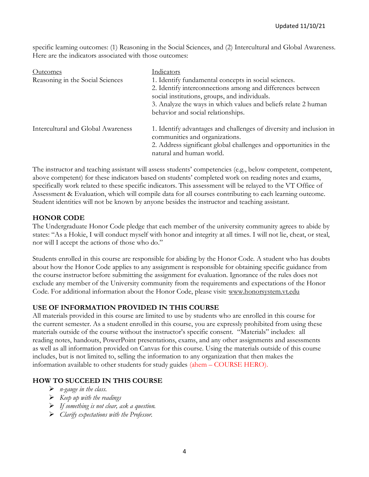specific learning outcomes: (1) Reasoning in the Social Sciences, and (2) Intercultural and Global Awareness. Here are the indicators associated with those outcomes:

| Outcomes                           | Indicators                                                          |
|------------------------------------|---------------------------------------------------------------------|
| Reasoning in the Social Sciences   | 1. Identify fundamental concepts in social sciences.                |
|                                    | 2. Identify interconnections among and differences between          |
|                                    | social institutions, groups, and individuals.                       |
|                                    | 3. Analyze the ways in which values and beliefs relate 2 human      |
|                                    | behavior and social relationships.                                  |
| Intercultural and Global Awareness | 1. Identify advantages and challenges of diversity and inclusion in |
|                                    | communities and organizations.                                      |
|                                    | 2. Address significant global challenges and opportunities in the   |
|                                    | natural and human world.                                            |

The instructor and teaching assistant will assess students' competencies (e.g., below competent, competent, above competent) for these indicators based on students' completed work on reading notes and exams, specifically work related to these specific indicators. This assessment will be relayed to the VT Office of Assessment & Evaluation, which will compile data for all courses contributing to each learning outcome. Student identities will not be known by anyone besides the instructor and teaching assistant.

## **HONOR CODE**

The Undergraduate Honor Code pledge that each member of the university community agrees to abide by states: "As a Hokie, I will conduct myself with honor and integrity at all times. I will not lie, cheat, or steal, nor will I accept the actions of those who do."

Students enrolled in this course are responsible for abiding by the Honor Code. A student who has doubts about how the Honor Code applies to any assignment is responsible for obtaining specific guidance from the course instructor before submitting the assignment for evaluation. Ignorance of the rules does not exclude any member of the University community from the requirements and expectations of the Honor Code. For additional information about the Honor Code, please visit: [www.honorsystem.vt.edu](http://www.honorsystem.vt.edu/)

## **USE OF INFORMATION PROVIDED IN THIS COURSE**

All materials provided in this course are limited to use by students who are enrolled in this course for the current semester. As a student enrolled in this course, you are expressly prohibited from using these materials outside of the course without the instructor's specific consent. "Materials" includes: all reading notes, handouts, PowerPoint presentations, exams, and any other assignments and assessments as well as all information provided on Canvas for this course. Using the materials outside of this course includes, but is not limited to, selling the information to any organization that then makes the information available to other students for study guides (ahem – COURSE HERO).

## **HOW TO SUCCEED IN THIS COURSE**

- ➢ *n-gauge in the class.*
- ➢ *Keep up with the readings*
- ➢ *If something is not clear, ask a question.*
- ➢ *Clarify expectations with the Professor.*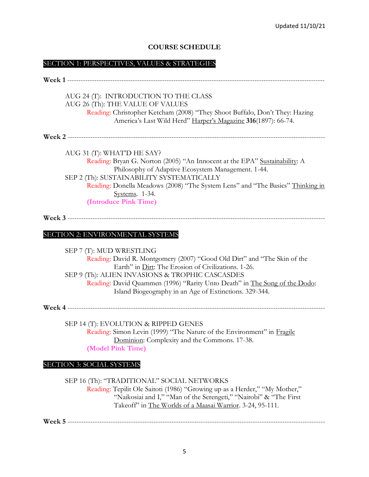## **COURSE SCHEDULE**

#### SECTION 1: PERSPECTIVES, VALUES & STRATEGIES

|                                  | AUG 24 (T): INTRODUCTION TO THE CLASS                                          |
|----------------------------------|--------------------------------------------------------------------------------|
| AUG 26 (Th): THE VALUE OF VALUES |                                                                                |
|                                  | Reading: Christopher Ketcham (2008) "They Shoot Buffalo, Don't They: Hazing    |
|                                  | America's Last Wild Herd" Harper's Magazine 316(1897): 66-74.                  |
|                                  |                                                                                |
| AUG 31 (T): WHAT'D HE SAY?       |                                                                                |
|                                  | Reading: Bryan G. Norton (2005) "An Innocent at the EPA" Sustainability: A     |
|                                  | Philosophy of Adaptive Ecosystem Management. 1-44.                             |
|                                  | SEP 2 (Th): SUSTAINABILITY SYSTEMATICALLY                                      |
|                                  | Reading: Donella Meadows (2008) "The System Lens" and "The Basics" Thinking in |
|                                  | Systems. 1-34.                                                                 |
| (Introduce Pink Time)            |                                                                                |
|                                  |                                                                                |
|                                  |                                                                                |
| SECTION 2: ENVIRONMENTAL SYSTEMS |                                                                                |
|                                  |                                                                                |
|                                  |                                                                                |

SEP 7 (T): MUD WRESTLING Reading: David R. Montgomery (2007) "Good Old Dirt" and "The Skin of the Earth" in Dirt: The Erosion of Civilizations. 1-26. SEP 9 (Th): ALIEN INVASIONS & TROPHIC CASCASDES Reading: David Quammen (1996) "Rarity Unto Death" in The Song of the Dodo: Island Biogeography in an Age of Extinctions. 329-344.

**Week 4** ------------------------------------------------------------------------------------------------------------------

SEP 14 (T): EVOLUTION & RIPPED GENES Reading: Simon Levin (1999) "The Nature of the Environment" in Fragile Dominion: Complexity and the Commons. 17-38. **(Model Pink Time)**

#### SECTION 3: SOCIAL SYSTEMS

SEP 16 (Th): "TRADITIONAL" SOCIAL NETWORKS Reading: Tepilit Ole Saitoti (1986) "Growing up as a Herder," "My Mother," "Naikosiai and I," "Man of the Serengeti," "Nairobi" & "The First Takeoff" in The Worlds of a Maasai Warrior. 3-24, 95-111.

**Week 5** ------------------------------------------------------------------------------------------------------------------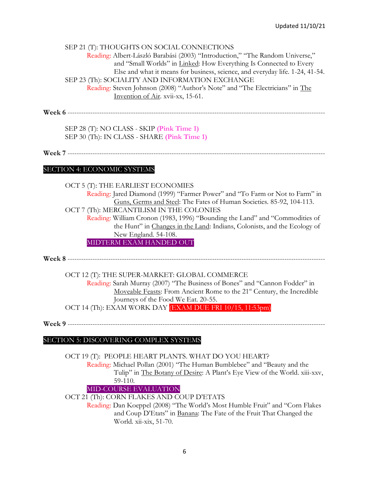#### SEP 21 (T): THOUGHTS ON SOCIAL CONNECTIONS

Reading: Albert-László Barabási (2003) "Introduction," "The Random Universe," and "Small Worlds" in Linked: How Everything Is Connected to Every Else and what it means for business, science, and everyday life. 1-24, 41-54. SEP 23 (Th): SOCIALITY AND INFORMATION EXCHANGE Reading: Steven Johnson (2008) "Author's Note" and "The Electricians" in The Invention of Air. xvii-xx, 15-61.

**Week 6** ------------------------------------------------------------------------------------------------------------------

SEP 28 (T): NO CLASS - SKIP **(Pink Time 1)** SEP 30 (Th): IN CLASS - SHARE **(Pink Time 1)**

**Week 7** ------------------------------------------------------------------------------------------------------------------

#### SECTION 4: ECONOMIC SYSTEMS

OCT 5 (T): THE EARLIEST ECONOMIES Reading: Jared Diamond (1999) "Farmer Power" and "To Farm or Not to Farm" in Guns, Germs and Steel: The Fates of Human Societies. 85-92, 104-113. OCT 7 (Th): MERCANTILISM IN THE COLONIES Reading: William Cronon (1983, 1996) "Bounding the Land" and "Commodities of the Hunt" in Changes in the Land: Indians, Colonists, and the Ecology of New England. 54-108. MIDTERM EXAM HANDED OUT

**Week 8** ------------------------------------------------------------------------------------------------------------------

OCT 12 (T): THE SUPER-MARKET: GLOBAL COMMERCE

Reading: Sarah Murray (2007) "The Business of Bones" and "Cannon Fodder" in Moveable Feasts: From Ancient Rome to the 21<sup>st</sup> Century, the Incredible Journeys of the Food We Eat. 20-55.

OCT 14 (Th): EXAM WORK DAY (EXAM DUE FRI 10/15, 11:53pm)

**Week 9** ------------------------------------------------------------------------------------------------------------------

## SECTION 5: DISCOVERING COMPLEX SYSTEMS

OCT 19 (T): PEOPLE HEART PLANTS. WHAT DO YOU HEART? Reading: Michael Pollan (2001) "The Human Bumblebee" and "Beauty and the Tulip" in The Botany of Desire: A Plant's Eye View of the World. xiii-xxv, 59-110. MID-COURSE EVALUATION

OCT 21 (Th): CORN FLAKES AND COUP D'ETATS

Reading: Dan Koeppel (2008) "The World's Most Humble Fruit" and "Corn Flakes and Coup D'Etats" in Banana: The Fate of the Fruit That Changed the World. xii-xix, 51-70.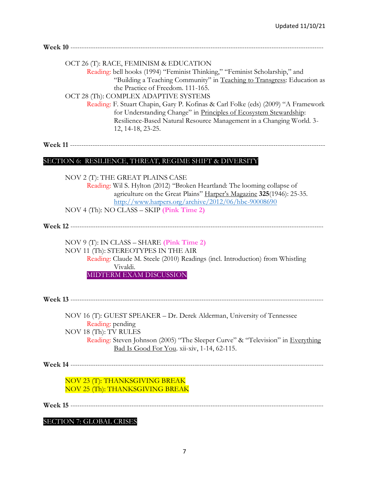| OCT 26 (T): RACE, FEMINISM & EDUCATION<br>Reading: bell hooks (1994) "Feminist Thinking," "Feminist Scholarship," and<br>"Building a Teaching Community" in Teaching to Transgress: Education as<br>the Practice of Freedom. 111-165.<br>OCT 28 (Th): COMPLEX ADAPTIVE SYSTEMS<br>Reading: F. Stuart Chapin, Gary P. Kofinas & Carl Folke (eds) (2009) "A Framework<br>for Understanding Change" in Principles of Ecosystem Stewardship:<br>Resilience-Based Natural Resource Management in a Changing World. 3-<br>12, 14-18, 23-25. |
|---------------------------------------------------------------------------------------------------------------------------------------------------------------------------------------------------------------------------------------------------------------------------------------------------------------------------------------------------------------------------------------------------------------------------------------------------------------------------------------------------------------------------------------|
|                                                                                                                                                                                                                                                                                                                                                                                                                                                                                                                                       |
| SECTION 6: RESILIENCE, THREAT, REGIME SHIFT & DIVERSITY                                                                                                                                                                                                                                                                                                                                                                                                                                                                               |
| NOV 2 (T): THE GREAT PLAINS CASE<br>Reading: Wil S. Hylton (2012) "Broken Heartland: The looming collapse of<br>agriculture on the Great Plains" Harper's Magazine 325(1946): 25-35.<br>http://www.harpers.org/archive/2012/06/hbc-90008690<br>NOV 4 (Th): NO CLASS - SKIP (Pink Time 2)                                                                                                                                                                                                                                              |
|                                                                                                                                                                                                                                                                                                                                                                                                                                                                                                                                       |
| NOV 9 (T): IN CLASS – SHARE (Pink Time 2)<br>NOV 11 (Th): STEREOTYPES IN THE AIR<br>Reading: Claude M. Steele (2010) Readings (incl. Introduction) from Whistling<br>Vivaldi.<br>MIDTERM EXAM DISCUSSION                                                                                                                                                                                                                                                                                                                              |
|                                                                                                                                                                                                                                                                                                                                                                                                                                                                                                                                       |
| NOV 16 (T): GUEST SPEAKER – Dr. Derek Alderman, University of Tennessee<br>Reading: pending<br>NOV 18 (Th): TV RULES<br>Reading: Steven Johnson (2005) "The Sleeper Curve" & "Television" in Everything<br>Bad Is Good For You. xii-xiv, 1-14, 62-115.                                                                                                                                                                                                                                                                                |
|                                                                                                                                                                                                                                                                                                                                                                                                                                                                                                                                       |
| NOV 23 (T): THANKSGIVING BREAK<br>NOV 25 (Th): THANKSGIVING BREAK                                                                                                                                                                                                                                                                                                                                                                                                                                                                     |
|                                                                                                                                                                                                                                                                                                                                                                                                                                                                                                                                       |
| <b>SECTION 7: GLOBAL CRISES</b>                                                                                                                                                                                                                                                                                                                                                                                                                                                                                                       |